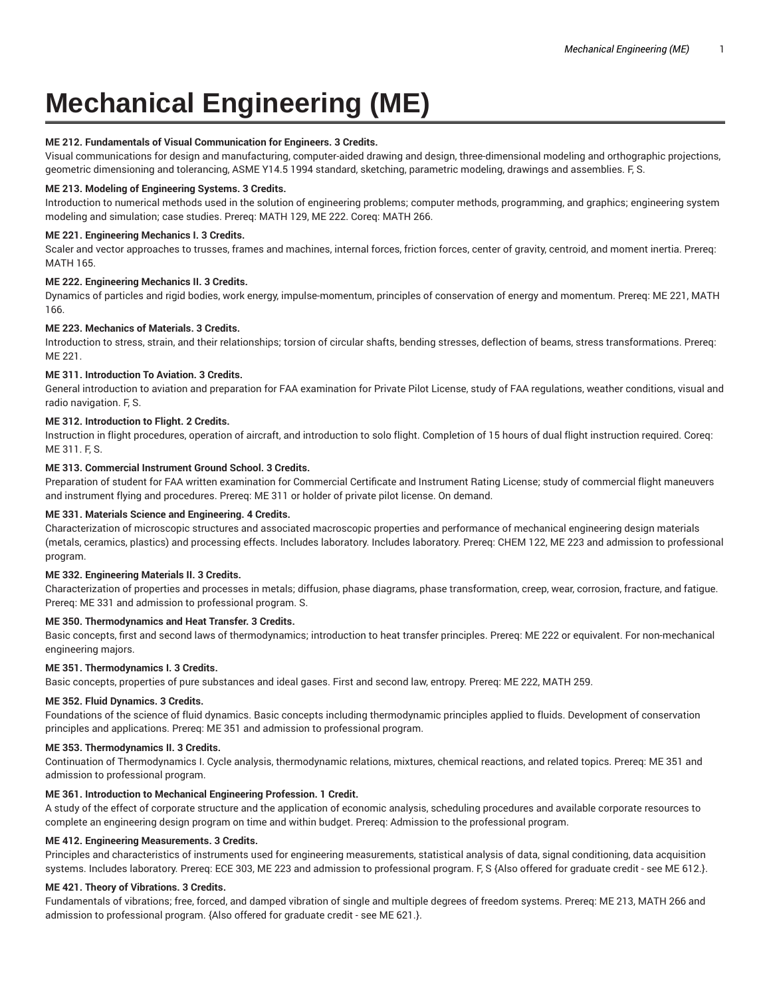# **Mechanical Engineering (ME)**

# **ME 212. Fundamentals of Visual Communication for Engineers. 3 Credits.**

Visual communications for design and manufacturing, computer-aided drawing and design, three-dimensional modeling and orthographic projections, geometric dimensioning and tolerancing, ASME Y14.5 1994 standard, sketching, parametric modeling, drawings and assemblies. F, S.

# **ME 213. Modeling of Engineering Systems. 3 Credits.**

Introduction to numerical methods used in the solution of engineering problems; computer methods, programming, and graphics; engineering system modeling and simulation; case studies. Prereq: MATH 129, ME 222. Coreq: MATH 266.

# **ME 221. Engineering Mechanics I. 3 Credits.**

Scaler and vector approaches to trusses, frames and machines, internal forces, friction forces, center of gravity, centroid, and moment inertia. Prereq: MATH 165.

# **ME 222. Engineering Mechanics II. 3 Credits.**

Dynamics of particles and rigid bodies, work energy, impulse-momentum, principles of conservation of energy and momentum. Prereq: ME 221, MATH 166.

# **ME 223. Mechanics of Materials. 3 Credits.**

Introduction to stress, strain, and their relationships; torsion of circular shafts, bending stresses, deflection of beams, stress transformations. Prereq: ME 221.

# **ME 311. Introduction To Aviation. 3 Credits.**

General introduction to aviation and preparation for FAA examination for Private Pilot License, study of FAA regulations, weather conditions, visual and radio navigation. F, S.

# **ME 312. Introduction to Flight. 2 Credits.**

Instruction in flight procedures, operation of aircraft, and introduction to solo flight. Completion of 15 hours of dual flight instruction required. Coreq: ME 311. F, S.

# **ME 313. Commercial Instrument Ground School. 3 Credits.**

Preparation of student for FAA written examination for Commercial Certificate and Instrument Rating License; study of commercial flight maneuvers and instrument flying and procedures. Prereq: ME 311 or holder of private pilot license. On demand.

# **ME 331. Materials Science and Engineering. 4 Credits.**

Characterization of microscopic structures and associated macroscopic properties and performance of mechanical engineering design materials (metals, ceramics, plastics) and processing effects. Includes laboratory. Includes laboratory. Prereq: CHEM 122, ME 223 and admission to professional program.

# **ME 332. Engineering Materials II. 3 Credits.**

Characterization of properties and processes in metals; diffusion, phase diagrams, phase transformation, creep, wear, corrosion, fracture, and fatigue. Prereq: ME 331 and admission to professional program. S.

# **ME 350. Thermodynamics and Heat Transfer. 3 Credits.**

Basic concepts, first and second laws of thermodynamics; introduction to heat transfer principles. Prereq: ME 222 or equivalent. For non-mechanical engineering majors.

# **ME 351. Thermodynamics I. 3 Credits.**

Basic concepts, properties of pure substances and ideal gases. First and second law, entropy. Prereq: ME 222, MATH 259.

# **ME 352. Fluid Dynamics. 3 Credits.**

Foundations of the science of fluid dynamics. Basic concepts including thermodynamic principles applied to fluids. Development of conservation principles and applications. Prereq: ME 351 and admission to professional program.

# **ME 353. Thermodynamics II. 3 Credits.**

Continuation of Thermodynamics I. Cycle analysis, thermodynamic relations, mixtures, chemical reactions, and related topics. Prereq: ME 351 and admission to professional program.

# **ME 361. Introduction to Mechanical Engineering Profession. 1 Credit.**

A study of the effect of corporate structure and the application of economic analysis, scheduling procedures and available corporate resources to complete an engineering design program on time and within budget. Prereq: Admission to the professional program.

# **ME 412. Engineering Measurements. 3 Credits.**

Principles and characteristics of instruments used for engineering measurements, statistical analysis of data, signal conditioning, data acquisition systems. Includes laboratory. Prereq: ECE 303, ME 223 and admission to professional program. F, S {Also offered for graduate credit - see ME 612.}.

# **ME 421. Theory of Vibrations. 3 Credits.**

Fundamentals of vibrations; free, forced, and damped vibration of single and multiple degrees of freedom systems. Prereq: ME 213, MATH 266 and admission to professional program. {Also offered for graduate credit - see ME 621.}.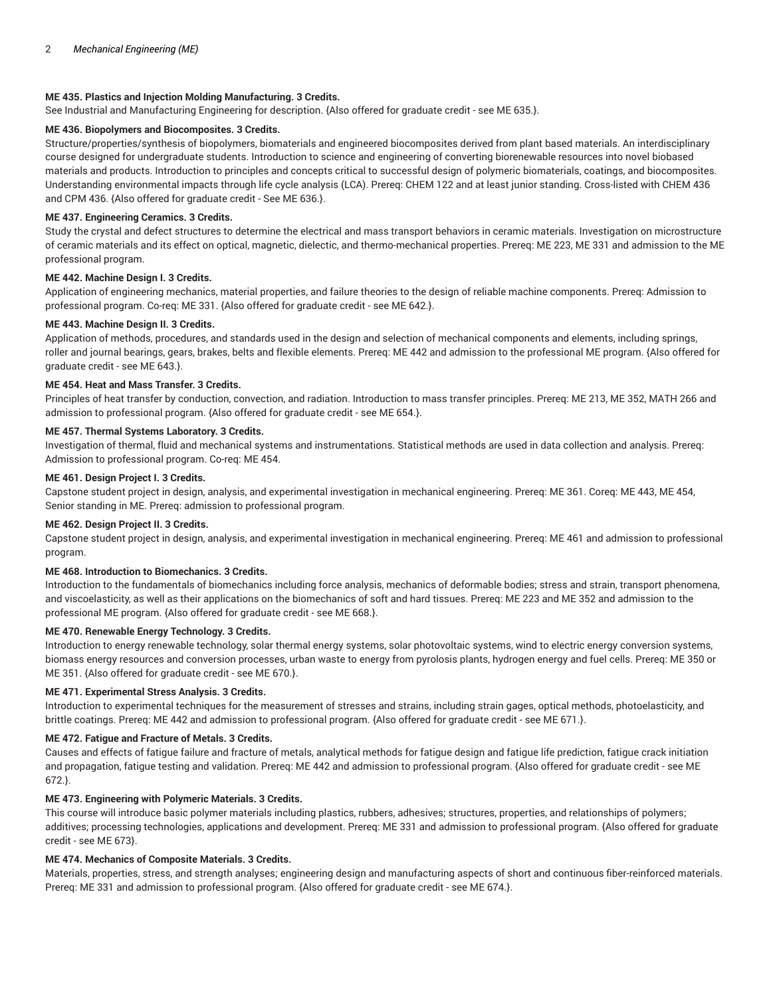# **ME 435. Plastics and Injection Molding Manufacturing. 3 Credits.**

See Industrial and Manufacturing Engineering for description. {Also offered for graduate credit - see ME 635.}.

# **ME 436. Biopolymers and Biocomposites. 3 Credits.**

Structure/properties/synthesis of biopolymers, biomaterials and engineered biocomposites derived from plant based materials. An interdisciplinary course designed for undergraduate students. Introduction to science and engineering of converting biorenewable resources into novel biobased materials and products. Introduction to principles and concepts critical to successful design of polymeric biomaterials, coatings, and biocomposites. Understanding environmental impacts through life cycle analysis (LCA). Prereq: CHEM 122 and at least junior standing. Cross-listed with CHEM 436 and CPM 436. {Also offered for graduate credit - See ME 636.}.

#### **ME 437. Engineering Ceramics. 3 Credits.**

Study the crystal and defect structures to determine the electrical and mass transport behaviors in ceramic materials. Investigation on microstructure of ceramic materials and its effect on optical, magnetic, dielectic, and thermo-mechanical properties. Prereq: ME 223, ME 331 and admission to the ME professional program.

# **ME 442. Machine Design I. 3 Credits.**

Application of engineering mechanics, material properties, and failure theories to the design of reliable machine components. Prereq: Admission to professional program. Co-req: ME 331. {Also offered for graduate credit - see ME 642.}.

#### **ME 443. Machine Design II. 3 Credits.**

Application of methods, procedures, and standards used in the design and selection of mechanical components and elements, including springs, roller and journal bearings, gears, brakes, belts and flexible elements. Prereq: ME 442 and admission to the professional ME program. {Also offered for graduate credit - see ME 643.}.

#### **ME 454. Heat and Mass Transfer. 3 Credits.**

Principles of heat transfer by conduction, convection, and radiation. Introduction to mass transfer principles. Prereq: ME 213, ME 352, MATH 266 and admission to professional program. {Also offered for graduate credit - see ME 654.}.

#### **ME 457. Thermal Systems Laboratory. 3 Credits.**

Investigation of thermal, fluid and mechanical systems and instrumentations. Statistical methods are used in data collection and analysis. Prereq: Admission to professional program. Co-req: ME 454.

# **ME 461. Design Project I. 3 Credits.**

Capstone student project in design, analysis, and experimental investigation in mechanical engineering. Prereq: ME 361. Coreq: ME 443, ME 454, Senior standing in ME. Prereq: admission to professional program.

#### **ME 462. Design Project II. 3 Credits.**

Capstone student project in design, analysis, and experimental investigation in mechanical engineering. Prereq: ME 461 and admission to professional program.

# **ME 468. Introduction to Biomechanics. 3 Credits.**

Introduction to the fundamentals of biomechanics including force analysis, mechanics of deformable bodies; stress and strain, transport phenomena, and viscoelasticity, as well as their applications on the biomechanics of soft and hard tissues. Prereq: ME 223 and ME 352 and admission to the professional ME program. {Also offered for graduate credit - see ME 668.}.

#### **ME 470. Renewable Energy Technology. 3 Credits.**

Introduction to energy renewable technology, solar thermal energy systems, solar photovoltaic systems, wind to electric energy conversion systems, biomass energy resources and conversion processes, urban waste to energy from pyrolosis plants, hydrogen energy and fuel cells. Prereq: ME 350 or ME 351. {Also offered for graduate credit - see ME 670.}.

#### **ME 471. Experimental Stress Analysis. 3 Credits.**

Introduction to experimental techniques for the measurement of stresses and strains, including strain gages, optical methods, photoelasticity, and brittle coatings. Prereq: ME 442 and admission to professional program. {Also offered for graduate credit - see ME 671.}.

## **ME 472. Fatigue and Fracture of Metals. 3 Credits.**

Causes and effects of fatigue failure and fracture of metals, analytical methods for fatigue design and fatigue life prediction, fatigue crack initiation and propagation, fatigue testing and validation. Prereq: ME 442 and admission to professional program. {Also offered for graduate credit - see ME 672.}.

#### **ME 473. Engineering with Polymeric Materials. 3 Credits.**

This course will introduce basic polymer materials including plastics, rubbers, adhesives; structures, properties, and relationships of polymers; additives; processing technologies, applications and development. Prereq: ME 331 and admission to professional program. {Also offered for graduate credit - see ME 673}.

# **ME 474. Mechanics of Composite Materials. 3 Credits.**

Materials, properties, stress, and strength analyses; engineering design and manufacturing aspects of short and continuous fiber-reinforced materials. Prereq: ME 331 and admission to professional program. {Also offered for graduate credit - see ME 674.}.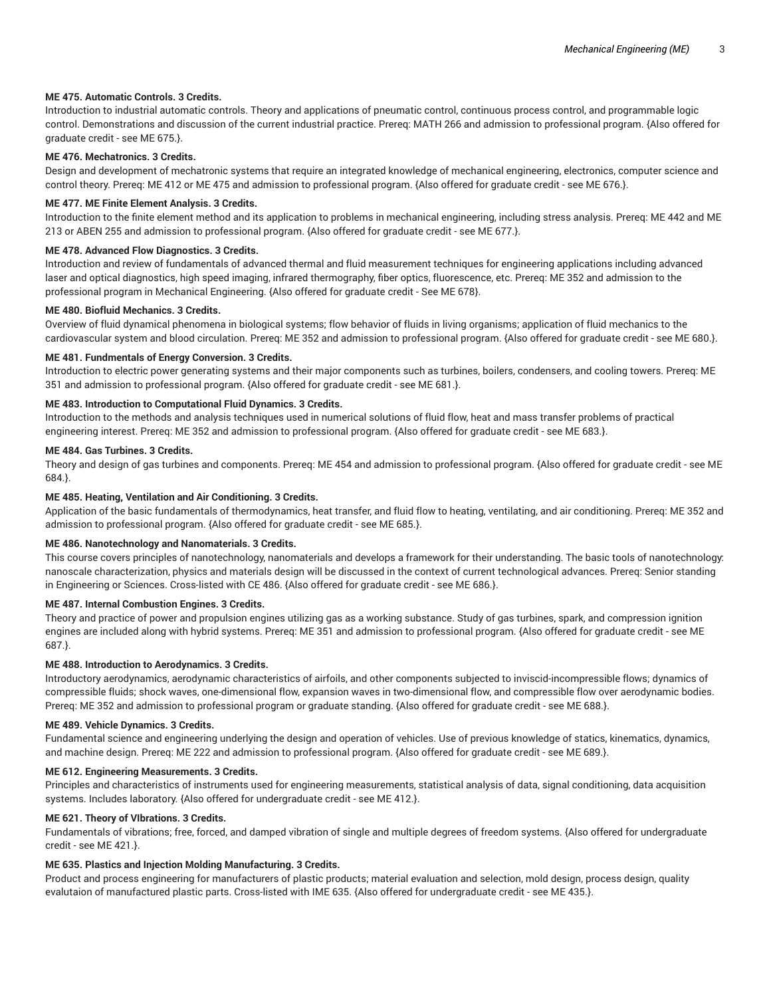# **ME 475. Automatic Controls. 3 Credits.**

Introduction to industrial automatic controls. Theory and applications of pneumatic control, continuous process control, and programmable logic control. Demonstrations and discussion of the current industrial practice. Prereq: MATH 266 and admission to professional program. {Also offered for graduate credit - see ME 675.}.

## **ME 476. Mechatronics. 3 Credits.**

Design and development of mechatronic systems that require an integrated knowledge of mechanical engineering, electronics, computer science and control theory. Prereq: ME 412 or ME 475 and admission to professional program. {Also offered for graduate credit - see ME 676.}.

#### **ME 477. ME Finite Element Analysis. 3 Credits.**

Introduction to the finite element method and its application to problems in mechanical engineering, including stress analysis. Prereq: ME 442 and ME 213 or ABEN 255 and admission to professional program. {Also offered for graduate credit - see ME 677.}.

# **ME 478. Advanced Flow Diagnostics. 3 Credits.**

Introduction and review of fundamentals of advanced thermal and fluid measurement techniques for engineering applications including advanced laser and optical diagnostics, high speed imaging, infrared thermography, fiber optics, fluorescence, etc. Prereq: ME 352 and admission to the professional program in Mechanical Engineering. {Also offered for graduate credit - See ME 678}.

#### **ME 480. Biofluid Mechanics. 3 Credits.**

Overview of fluid dynamical phenomena in biological systems; flow behavior of fluids in living organisms; application of fluid mechanics to the cardiovascular system and blood circulation. Prereq: ME 352 and admission to professional program. {Also offered for graduate credit - see ME 680.}.

#### **ME 481. Fundmentals of Energy Conversion. 3 Credits.**

Introduction to electric power generating systems and their major components such as turbines, boilers, condensers, and cooling towers. Prereq: ME 351 and admission to professional program. {Also offered for graduate credit - see ME 681.}.

## **ME 483. Introduction to Computational Fluid Dynamics. 3 Credits.**

Introduction to the methods and analysis techniques used in numerical solutions of fluid flow, heat and mass transfer problems of practical engineering interest. Prereq: ME 352 and admission to professional program. {Also offered for graduate credit - see ME 683.}.

#### **ME 484. Gas Turbines. 3 Credits.**

Theory and design of gas turbines and components. Prereq: ME 454 and admission to professional program. {Also offered for graduate credit - see ME 684.}.

#### **ME 485. Heating, Ventilation and Air Conditioning. 3 Credits.**

Application of the basic fundamentals of thermodynamics, heat transfer, and fluid flow to heating, ventilating, and air conditioning. Prereq: ME 352 and admission to professional program. {Also offered for graduate credit - see ME 685.}.

#### **ME 486. Nanotechnology and Nanomaterials. 3 Credits.**

This course covers principles of nanotechnology, nanomaterials and develops a framework for their understanding. The basic tools of nanotechnology: nanoscale characterization, physics and materials design will be discussed in the context of current technological advances. Prereq: Senior standing in Engineering or Sciences. Cross-listed with CE 486. {Also offered for graduate credit - see ME 686.}.

#### **ME 487. Internal Combustion Engines. 3 Credits.**

Theory and practice of power and propulsion engines utilizing gas as a working substance. Study of gas turbines, spark, and compression ignition engines are included along with hybrid systems. Prereq: ME 351 and admission to professional program. {Also offered for graduate credit - see ME 687.}.

#### **ME 488. Introduction to Aerodynamics. 3 Credits.**

Introductory aerodynamics, aerodynamic characteristics of airfoils, and other components subjected to inviscid-incompressible flows; dynamics of compressible fluids; shock waves, one-dimensional flow, expansion waves in two-dimensional flow, and compressible flow over aerodynamic bodies. Prereq: ME 352 and admission to professional program or graduate standing. {Also offered for graduate credit - see ME 688.}.

# **ME 489. Vehicle Dynamics. 3 Credits.**

Fundamental science and engineering underlying the design and operation of vehicles. Use of previous knowledge of statics, kinematics, dynamics, and machine design. Prereq: ME 222 and admission to professional program. {Also offered for graduate credit - see ME 689.}.

# **ME 612. Engineering Measurements. 3 Credits.**

Principles and characteristics of instruments used for engineering measurements, statistical analysis of data, signal conditioning, data acquisition systems. Includes laboratory. {Also offered for undergraduate credit - see ME 412.}.

# **ME 621. Theory of VIbrations. 3 Credits.**

Fundamentals of vibrations; free, forced, and damped vibration of single and multiple degrees of freedom systems. {Also offered for undergraduate credit - see ME 421.}.

# **ME 635. Plastics and Injection Molding Manufacturing. 3 Credits.**

Product and process engineering for manufacturers of plastic products; material evaluation and selection, mold design, process design, quality evalutaion of manufactured plastic parts. Cross-listed with IME 635. {Also offered for undergraduate credit - see ME 435.}.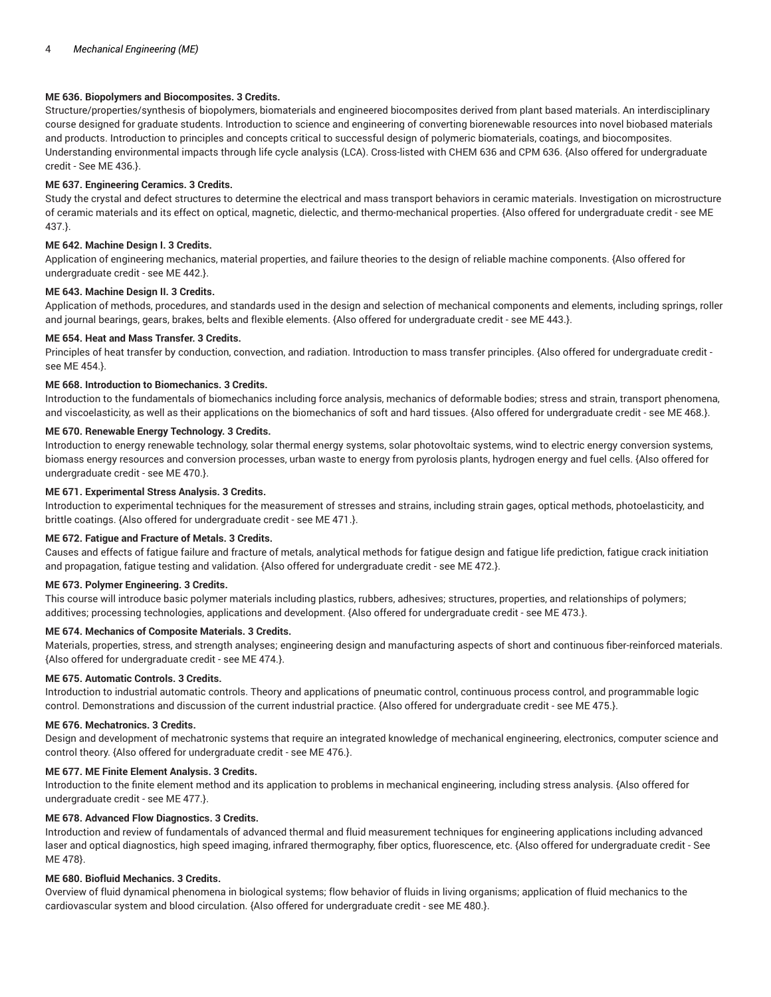# **ME 636. Biopolymers and Biocomposites. 3 Credits.**

Structure/properties/synthesis of biopolymers, biomaterials and engineered biocomposites derived from plant based materials. An interdisciplinary course designed for graduate students. Introduction to science and engineering of converting biorenewable resources into novel biobased materials and products. Introduction to principles and concepts critical to successful design of polymeric biomaterials, coatings, and biocomposites. Understanding environmental impacts through life cycle analysis (LCA). Cross-listed with CHEM 636 and CPM 636. {Also offered for undergraduate credit - See ME 436.}.

# **ME 637. Engineering Ceramics. 3 Credits.**

Study the crystal and defect structures to determine the electrical and mass transport behaviors in ceramic materials. Investigation on microstructure of ceramic materials and its effect on optical, magnetic, dielectic, and thermo-mechanical properties. {Also offered for undergraduate credit - see ME 437.}.

# **ME 642. Machine Design I. 3 Credits.**

Application of engineering mechanics, material properties, and failure theories to the design of reliable machine components. {Also offered for undergraduate credit - see ME 442.}.

## **ME 643. Machine Design II. 3 Credits.**

Application of methods, procedures, and standards used in the design and selection of mechanical components and elements, including springs, roller and journal bearings, gears, brakes, belts and flexible elements. {Also offered for undergraduate credit - see ME 443.}.

# **ME 654. Heat and Mass Transfer. 3 Credits.**

Principles of heat transfer by conduction, convection, and radiation. Introduction to mass transfer principles. {Also offered for undergraduate credit see ME 454.}.

# **ME 668. Introduction to Biomechanics. 3 Credits.**

Introduction to the fundamentals of biomechanics including force analysis, mechanics of deformable bodies; stress and strain, transport phenomena, and viscoelasticity, as well as their applications on the biomechanics of soft and hard tissues. {Also offered for undergraduate credit - see ME 468.}.

# **ME 670. Renewable Energy Technology. 3 Credits.**

Introduction to energy renewable technology, solar thermal energy systems, solar photovoltaic systems, wind to electric energy conversion systems, biomass energy resources and conversion processes, urban waste to energy from pyrolosis plants, hydrogen energy and fuel cells. {Also offered for undergraduate credit - see ME 470.}.

# **ME 671. Experimental Stress Analysis. 3 Credits.**

Introduction to experimental techniques for the measurement of stresses and strains, including strain gages, optical methods, photoelasticity, and brittle coatings. {Also offered for undergraduate credit - see ME 471.}.

# **ME 672. Fatigue and Fracture of Metals. 3 Credits.**

Causes and effects of fatigue failure and fracture of metals, analytical methods for fatigue design and fatigue life prediction, fatigue crack initiation and propagation, fatigue testing and validation. {Also offered for undergraduate credit - see ME 472.}.

# **ME 673. Polymer Engineering. 3 Credits.**

This course will introduce basic polymer materials including plastics, rubbers, adhesives; structures, properties, and relationships of polymers; additives; processing technologies, applications and development. {Also offered for undergraduate credit - see ME 473.}.

#### **ME 674. Mechanics of Composite Materials. 3 Credits.**

Materials, properties, stress, and strength analyses; engineering design and manufacturing aspects of short and continuous fiber-reinforced materials. {Also offered for undergraduate credit - see ME 474.}.

# **ME 675. Automatic Controls. 3 Credits.**

Introduction to industrial automatic controls. Theory and applications of pneumatic control, continuous process control, and programmable logic control. Demonstrations and discussion of the current industrial practice. {Also offered for undergraduate credit - see ME 475.}.

# **ME 676. Mechatronics. 3 Credits.**

Design and development of mechatronic systems that require an integrated knowledge of mechanical engineering, electronics, computer science and control theory. {Also offered for undergraduate credit - see ME 476.}.

#### **ME 677. ME Finite Element Analysis. 3 Credits.**

Introduction to the finite element method and its application to problems in mechanical engineering, including stress analysis. {Also offered for undergraduate credit - see ME 477.}.

# **ME 678. Advanced Flow Diagnostics. 3 Credits.**

Introduction and review of fundamentals of advanced thermal and fluid measurement techniques for engineering applications including advanced laser and optical diagnostics, high speed imaging, infrared thermography, fiber optics, fluorescence, etc. {Also offered for undergraduate credit - See ME 478}.

# **ME 680. Biofluid Mechanics. 3 Credits.**

Overview of fluid dynamical phenomena in biological systems; flow behavior of fluids in living organisms; application of fluid mechanics to the cardiovascular system and blood circulation. {Also offered for undergraduate credit - see ME 480.}.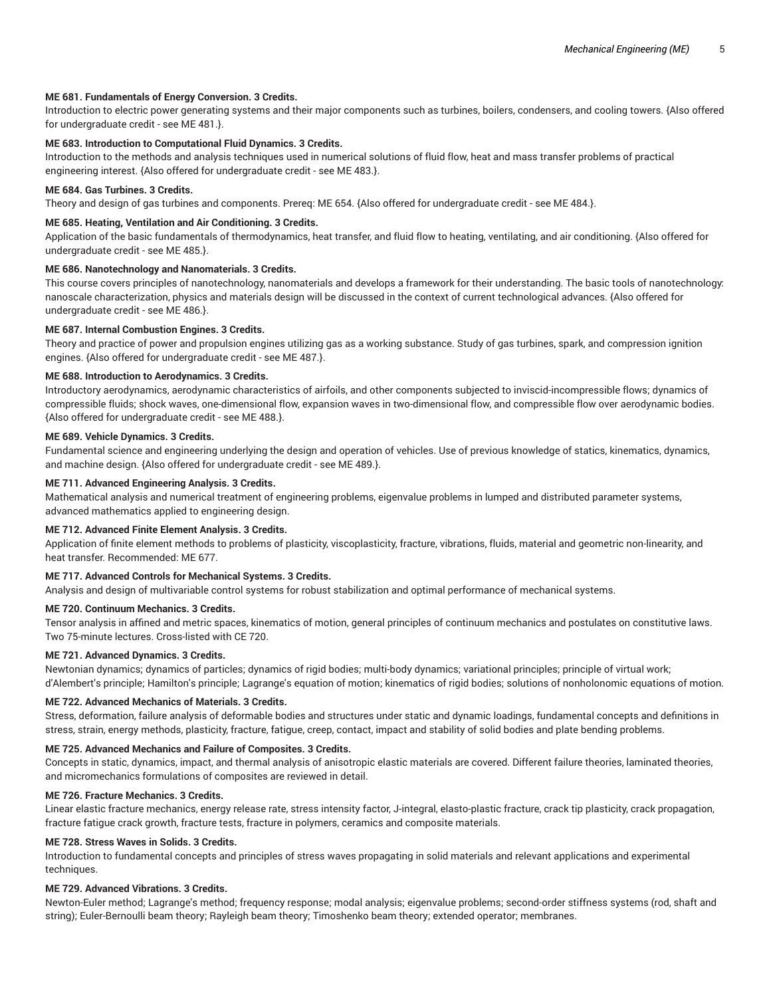# **ME 681. Fundamentals of Energy Conversion. 3 Credits.**

Introduction to electric power generating systems and their major components such as turbines, boilers, condensers, and cooling towers. {Also offered for undergraduate credit - see ME 481.}.

# **ME 683. Introduction to Computational Fluid Dynamics. 3 Credits.**

Introduction to the methods and analysis techniques used in numerical solutions of fluid flow, heat and mass transfer problems of practical engineering interest. {Also offered for undergraduate credit - see ME 483.}.

#### **ME 684. Gas Turbines. 3 Credits.**

Theory and design of gas turbines and components. Prereq: ME 654. {Also offered for undergraduate credit - see ME 484.}.

#### **ME 685. Heating, Ventilation and Air Conditioning. 3 Credits.**

Application of the basic fundamentals of thermodynamics, heat transfer, and fluid flow to heating, ventilating, and air conditioning. {Also offered for undergraduate credit - see ME 485.}.

# **ME 686. Nanotechnology and Nanomaterials. 3 Credits.**

This course covers principles of nanotechnology, nanomaterials and develops a framework for their understanding. The basic tools of nanotechnology: nanoscale characterization, physics and materials design will be discussed in the context of current technological advances. {Also offered for undergraduate credit - see ME 486.}.

# **ME 687. Internal Combustion Engines. 3 Credits.**

Theory and practice of power and propulsion engines utilizing gas as a working substance. Study of gas turbines, spark, and compression ignition engines. {Also offered for undergraduate credit - see ME 487.}.

# **ME 688. Introduction to Aerodynamics. 3 Credits.**

Introductory aerodynamics, aerodynamic characteristics of airfoils, and other components subjected to inviscid-incompressible flows; dynamics of compressible fluids; shock waves, one-dimensional flow, expansion waves in two-dimensional flow, and compressible flow over aerodynamic bodies. {Also offered for undergraduate credit - see ME 488.}.

# **ME 689. Vehicle Dynamics. 3 Credits.**

Fundamental science and engineering underlying the design and operation of vehicles. Use of previous knowledge of statics, kinematics, dynamics, and machine design. {Also offered for undergraduate credit - see ME 489.}.

#### **ME 711. Advanced Engineering Analysis. 3 Credits.**

Mathematical analysis and numerical treatment of engineering problems, eigenvalue problems in lumped and distributed parameter systems, advanced mathematics applied to engineering design.

#### **ME 712. Advanced Finite Element Analysis. 3 Credits.**

Application of finite element methods to problems of plasticity, viscoplasticity, fracture, vibrations, fluids, material and geometric non-linearity, and heat transfer. Recommended: ME 677.

# **ME 717. Advanced Controls for Mechanical Systems. 3 Credits.**

Analysis and design of multivariable control systems for robust stabilization and optimal performance of mechanical systems.

#### **ME 720. Continuum Mechanics. 3 Credits.**

Tensor analysis in affined and metric spaces, kinematics of motion, general principles of continuum mechanics and postulates on constitutive laws. Two 75-minute lectures. Cross-listed with CE 720.

#### **ME 721. Advanced Dynamics. 3 Credits.**

Newtonian dynamics; dynamics of particles; dynamics of rigid bodies; multi-body dynamics; variational principles; principle of virtual work; d'Alembert's principle; Hamilton's principle; Lagrange's equation of motion; kinematics of rigid bodies; solutions of nonholonomic equations of motion.

#### **ME 722. Advanced Mechanics of Materials. 3 Credits.**

Stress, deformation, failure analysis of deformable bodies and structures under static and dynamic loadings, fundamental concepts and definitions in stress, strain, energy methods, plasticity, fracture, fatigue, creep, contact, impact and stability of solid bodies and plate bending problems.

#### **ME 725. Advanced Mechanics and Failure of Composites. 3 Credits.**

Concepts in static, dynamics, impact, and thermal analysis of anisotropic elastic materials are covered. Different failure theories, laminated theories, and micromechanics formulations of composites are reviewed in detail.

# **ME 726. Fracture Mechanics. 3 Credits.**

Linear elastic fracture mechanics, energy release rate, stress intensity factor, J-integral, elasto-plastic fracture, crack tip plasticity, crack propagation, fracture fatigue crack growth, fracture tests, fracture in polymers, ceramics and composite materials.

#### **ME 728. Stress Waves in Solids. 3 Credits.**

Introduction to fundamental concepts and principles of stress waves propagating in solid materials and relevant applications and experimental techniques.

#### **ME 729. Advanced Vibrations. 3 Credits.**

Newton-Euler method; Lagrange's method; frequency response; modal analysis; eigenvalue problems; second-order stiffness systems (rod, shaft and string); Euler-Bernoulli beam theory; Rayleigh beam theory; Timoshenko beam theory; extended operator; membranes.